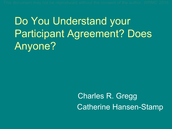# Do You Understand your Participant Agreement? Does Anyone?

# Charles R. Gregg Catherine Hansen-Stamp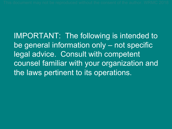IMPORTANT: The following is intended to be general information only – not specific legal advice. Consult with competent counsel familiar with your organization and the laws pertinent to its operations.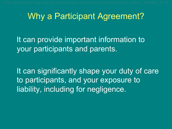### Why a Participant Agreement?

It can provide important information to your participants and parents.

It can significantly shape your duty of care to participants, and your exposure to liability, including for negligence.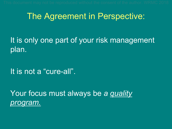### The Agreement in Perspective:

It is only one part of your risk management plan.

It is not a "cure-all".

Your focus must always be *a quality program.*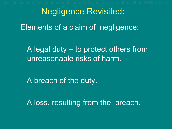Negligence Revisited: Elements of a claim of negligence:

A legal duty – to protect others from unreasonable risks of harm.

A breach of the duty.

A loss, resulting from the breach.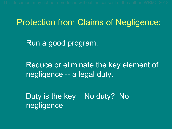#### Protection from Claims of Negligence:

Run a good program.

Reduce or eliminate the key element of negligence -- a legal duty.

Duty is the key. No duty? No negligence.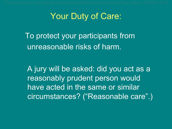### Your Duty of Care:

To protect your participants from unreasonable risks of harm.

A jury will be asked: did you act as a reasonably prudent person would have acted in the same or similar circumstances? ("Reasonable care".)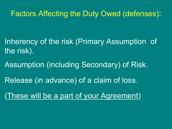#### Factors Affecting the Duty Owed (defenses):

Inherency of the risk (Primary Assumption of the risk).

Assumption (including Secondary) of Risk.

Release (in advance) of a claim of loss.

(These will be a part of your Agreement)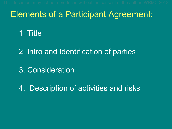### Elements of a Participant Agreement:

#### 1. Title

2. Intro and Identification of parties

3. Consideration

4. Description of activities and risks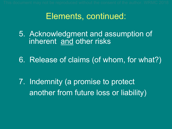### Elements, continued:

5. Acknowledgment and assumption of inherent and other risks

6. Release of claims (of whom, for what?)

7. Indemnity (a promise to protect another from future loss or liability)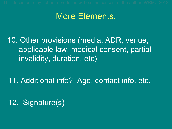### More Elements:

10. Other provisions (media, ADR, venue, applicable law, medical consent, partial invalidity, duration, etc).

11. Additional info? Age, contact info, etc.

12. Signature(s)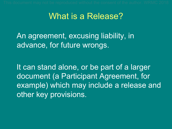### What is a Release?

An agreement, excusing liability, in advance, for future wrongs.

It can stand alone, or be part of a larger document (a Participant Agreement, for example) which may include a release and other key provisions.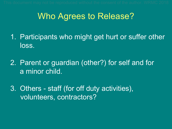### Who Agrees to Release?

1. Participants who might get hurt or suffer other loss.

2. Parent or guardian (other?) for self and for a minor child.

3. Others - staff (for off duty activities), volunteers, contractors?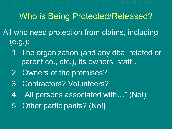# Who is Being Protected/Released?

- All who need protection from claims, including (e.g.):
	- 1. The organization (and any dba, related or parent co., etc.), its owners, staff...
	- 2. Owners of the premises?
	- 3. Contractors? Volunteers?
	- 4. "All persons associated with…" (No!)
	- 5. Other participants? (No!**)**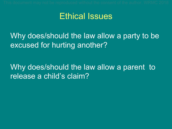#### Ethical Issues

Why does/should the law allow a party to be excused for hurting another?

Why does/should the law allow a parent to release a child's claim?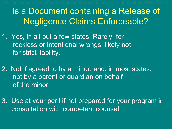# Is a Document containing a Release of Negligence Claims Enforceable?

- 1. Yes, in all but a few states. Rarely, for reckless or intentional wrongs; likely not for strict liability.
- 2. Not if agreed to by a minor, and, in most states, not by a parent or guardian on behalf of the minor.
- 3. Use at your peril if not prepared for your program in consultation with competent counsel.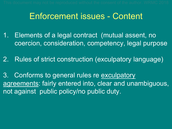### Enforcement issues - Content

- 1. Elements of a legal contract (mutual assent, no coercion, consideration, competency, legal purpose
- 2. Rules of strict construction (exculpatory language)
- 3. Conforms to general rules re exculpatory agreements: fairly entered into, clear and unambiguous, not against public policy/no public duty.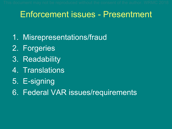### Enforcement issues - Presentment

- 1. Misrepresentations/fraud
- 2. Forgeries
- 3. Readability
- 4. Translations
- 5. E-signing
- 6. Federal VAR issues/requirements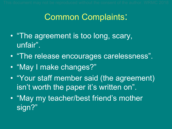# Common Complaints:

- "The agreement is too long, scary, unfair".
- "The release encourages carelessness".
- "May I make changes?"
- "Your staff member said (the agreement) isn't worth the paper it's written on".
- "May my teacher/best friend's mother sign?"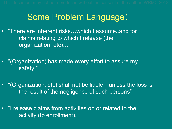### Some Problem Language:

- "There are inherent risks…which I assume..and for claims relating to which I release (the organization, etc)…"
- "(Organization) has made every effort to assure my safety."
- "(Organization, etc) shall not be liable…unless the loss is the result of the negligence of such persons"
- "I release claims from activities on or related to the activity (to enrollment).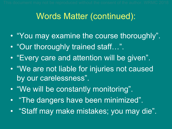### Words Matter (continued):

- "You may examine the course thoroughly".
- "Our thoroughly trained staff…".
- "Every care and attention will be given".
- "We are not liable for injuries not caused by our carelessness".
- "We will be constantly monitoring".
- "The dangers have been minimized".
- "Staff may make mistakes; you may die".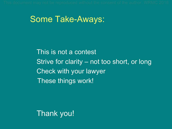#### Some Take-Aways:

This is not a contest Strive for clarity – not too short, or long Check with your lawyer These things work!

Thank you!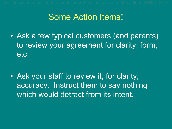### Some Action Items:

• Ask a few typical customers (and parents) to review your agreement for clarity, form, etc.

• Ask your staff to review it, for clarity, accuracy. Instruct them to say nothing which would detract from its intent.